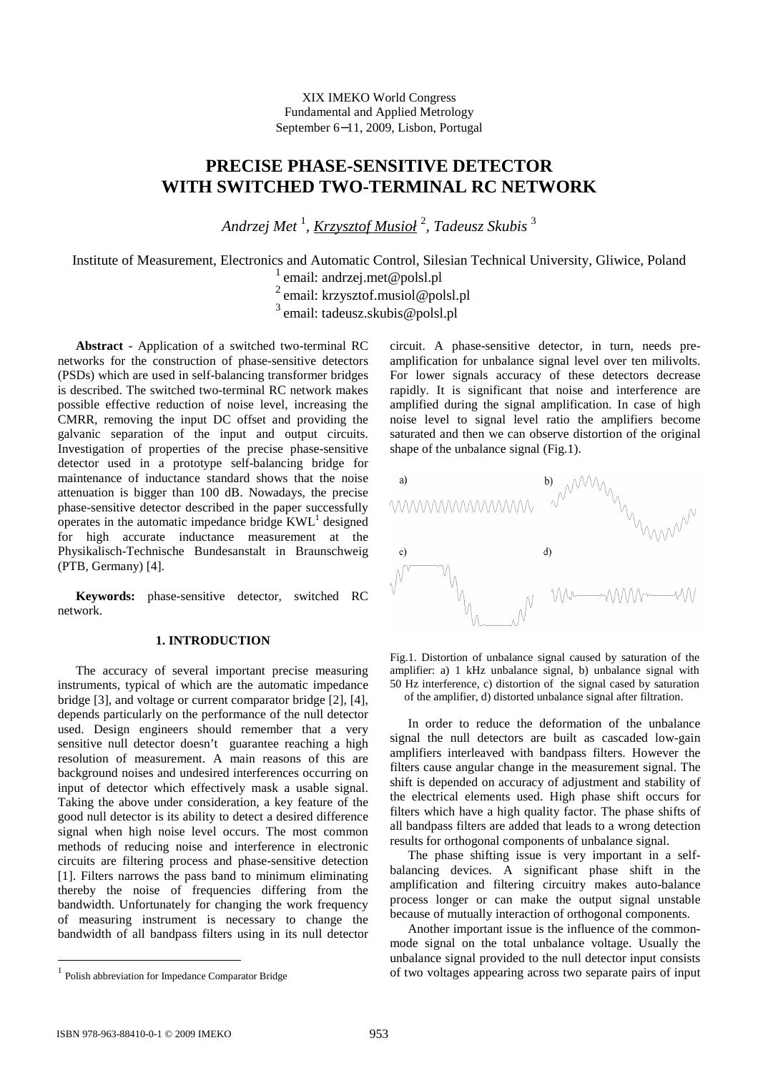XIX IMEKO World Congress Fundamental and Applied Metrology September 6−11, 2009, Lisbon, Portugal

# **PRECISE PHASE-SENSITIVE DETECTOR WITH SWITCHED TWO-TERMINAL RC NETWORK**

*Andrzej Met* <sup>1</sup> *, Krzysztof Musioł* <sup>2</sup> *, Tadeusz Skubis* <sup>3</sup>

Institute of Measurement, Electronics and Automatic Control, Silesian Technical University, Gliwice, Poland <sup>1</sup> email: andrzej.met@polsl.pl

<sup>2</sup>email: krzysztof.musiol@polsl.pl

<sup>3</sup>email: tadeusz.skubis@polsl.pl

**Abstract** - Application of a switched two-terminal RC networks for the construction of phase-sensitive detectors (PSDs) which are used in self-balancing transformer bridges is described. The switched two-terminal RC network makes possible effective reduction of noise level, increasing the CMRR, removing the input DC offset and providing the galvanic separation of the input and output circuits. Investigation of properties of the precise phase-sensitive detector used in a prototype self-balancing bridge for maintenance of inductance standard shows that the noise attenuation is bigger than 100 dB. Nowadays, the precise phase-sensitive detector described in the paper successfully operates in the automatic impedance bridge  $KWL<sup>1</sup>$  designed for high accurate inductance measurement at the Physikalisch-Technische Bundesanstalt in Braunschweig (PTB, Germany) [4].

**Keywords:** phase-sensitive detector, switched RC network.

## **1. INTRODUCTION**

The accuracy of several important precise measuring instruments, typical of which are the automatic impedance bridge [3], and voltage or current comparator bridge [2], [4], depends particularly on the performance of the null detector used. Design engineers should remember that a very sensitive null detector doesn't guarantee reaching a high resolution of measurement. A main reasons of this are background noises and undesired interferences occurring on input of detector which effectively mask a usable signal. Taking the above under consideration, a key feature of the good null detector is its ability to detect a desired difference signal when high noise level occurs. The most common methods of reducing noise and interference in electronic circuits are filtering process and phase-sensitive detection [1]. Filters narrows the pass band to minimum eliminating thereby the noise of frequencies differing from the bandwidth. Unfortunately for changing the work frequency of measuring instrument is necessary to change the bandwidth of all bandpass filters using in its null detector circuit. A phase-sensitive detector, in turn, needs preamplification for unbalance signal level over ten milivolts. For lower signals accuracy of these detectors decrease rapidly. It is significant that noise and interference are amplified during the signal amplification. In case of high noise level to signal level ratio the amplifiers become saturated and then we can observe distortion of the original shape of the unbalance signal (Fig.1).



Fig.1. Distortion of unbalance signal caused by saturation of the amplifier: a) 1 kHz unbalance signal, b) unbalance signal with 50 Hz interference, c) distortion of the signal cased by saturation of the amplifier, d) distorted unbalance signal after filtration.

In order to reduce the deformation of the unbalance signal the null detectors are built as cascaded low-gain amplifiers interleaved with bandpass filters. However the filters cause angular change in the measurement signal. The shift is depended on accuracy of adjustment and stability of the electrical elements used. High phase shift occurs for filters which have a high quality factor. The phase shifts of all bandpass filters are added that leads to a wrong detection results for orthogonal components of unbalance signal.

The phase shifting issue is very important in a selfbalancing devices. A significant phase shift in the amplification and filtering circuitry makes auto-balance process longer or can make the output signal unstable because of mutually interaction of orthogonal components.

Another important issue is the influence of the commonmode signal on the total unbalance voltage. Usually the unbalance signal provided to the null detector input consists of two voltages appearing across two separate pairs of input

<u>.</u>

<sup>&</sup>lt;sup>1</sup> Polish abbreviation for Impedance Comparator Bridge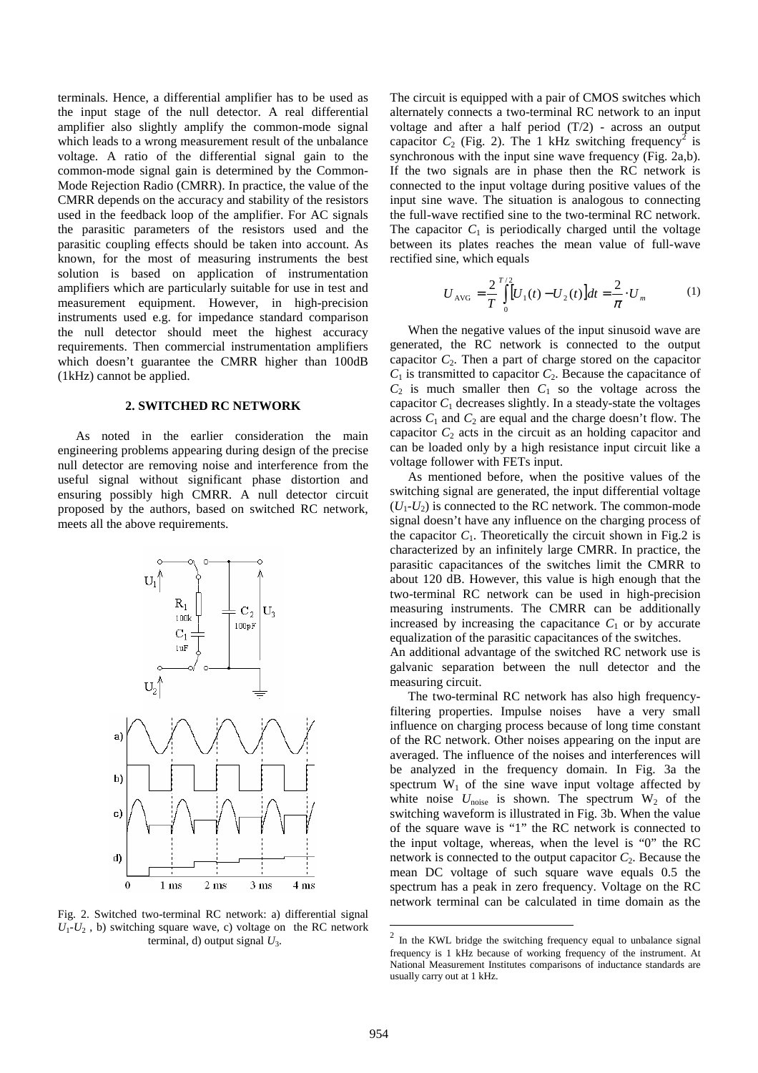terminals. Hence, a differential amplifier has to be used as the input stage of the null detector. A real differential amplifier also slightly amplify the common-mode signal which leads to a wrong measurement result of the unbalance voltage. A ratio of the differential signal gain to the common-mode signal gain is determined by the Common-Mode Rejection Radio (CMRR). In practice, the value of the CMRR depends on the accuracy and stability of the resistors used in the feedback loop of the amplifier. For AC signals the parasitic parameters of the resistors used and the parasitic coupling effects should be taken into account. As known, for the most of measuring instruments the best solution is based on application of instrumentation amplifiers which are particularly suitable for use in test and measurement equipment. However, in high-precision instruments used e.g. for impedance standard comparison the null detector should meet the highest accuracy requirements. Then commercial instrumentation amplifiers which doesn't guarantee the CMRR higher than 100dB (1kHz) cannot be applied.

#### **2. SWITCHED RC NETWORK**

As noted in the earlier consideration the main engineering problems appearing during design of the precise null detector are removing noise and interference from the useful signal without significant phase distortion and ensuring possibly high CMRR. A null detector circuit proposed by the authors, based on switched RC network, meets all the above requirements.



Fig. 2. Switched two-terminal RC network: a) differential signal  $U_1$ - $U_2$ , b) switching square wave, c) voltage on the RC network terminal, d) output signal *U*<sup>3</sup> .

The circuit is equipped with a pair of CMOS switches which alternately connects a two-terminal RC network to an input voltage and after a half period  $(T/2)$  - across an output capacitor  $C_2$  (Fig. 2). The 1 kHz switching frequency<sup>2</sup> is synchronous with the input sine wave frequency (Fig. 2a,b). If the two signals are in phase then the RC network is connected to the input voltage during positive values of the input sine wave. The situation is analogous to connecting the full-wave rectified sine to the two-terminal RC network. The capacitor  $C_1$  is periodically charged until the voltage between its plates reaches the mean value of full-wave rectified sine, which equals

$$
U_{\text{AVG}} = \frac{2}{T} \int_{0}^{T/2} [U_1(t) - U_2(t)] dt = \frac{2}{\pi} \cdot U_m \tag{1}
$$

When the negative values of the input sinusoid wave are generated, the RC network is connected to the output capacitor  $C_2$ . Then a part of charge stored on the capacitor  $C_1$  is transmitted to capacitor  $C_2$ . Because the capacitance of  $C_2$  is much smaller then  $C_1$  so the voltage across the capacitor  $C_1$  decreases slightly. In a steady-state the voltages across  $C_1$  and  $C_2$  are equal and the charge doesn't flow. The capacitor  $C_2$  acts in the circuit as an holding capacitor and can be loaded only by a high resistance input circuit like a voltage follower with FETs input.

As mentioned before, when the positive values of the switching signal are generated, the input differential voltage  $(U_1-U_2)$  is connected to the RC network. The common-mode signal doesn't have any influence on the charging process of the capacitor  $C_1$ . Theoretically the circuit shown in Fig.2 is characterized by an infinitely large CMRR. In practice, the parasitic capacitances of the switches limit the CMRR to about 120 dB. However, this value is high enough that the two-terminal RC network can be used in high-precision measuring instruments. The CMRR can be additionally increased by increasing the capacitance  $C_1$  or by accurate equalization of the parasitic capacitances of the switches.

An additional advantage of the switched RC network use is galvanic separation between the null detector and the measuring circuit.

The two-terminal RC network has also high frequencyfiltering properties. Impulse noises have a very small influence on charging process because of long time constant of the RC network. Other noises appearing on the input are averaged. The influence of the noises and interferences will be analyzed in the frequency domain. In Fig. 3a the spectrum  $W_1$  of the sine wave input voltage affected by white noise  $U_{\text{noise}}$  is shown. The spectrum  $W_2$  of the switching waveform is illustrated in Fig. 3b. When the value of the square wave is "1" the RC network is connected to the input voltage, whereas, when the level is "0" the RC network is connected to the output capacitor  $C_2$ . Because the mean DC voltage of such square wave equals 0.5 the spectrum has a peak in zero frequency. Voltage on the RC network terminal can be calculated in time domain as the

 $\overline{a}$ 

<sup>2</sup> In the KWL bridge the switching frequency equal to unbalance signal frequency is 1 kHz because of working frequency of the instrument. At National Measurement Institutes comparisons of inductance standards are usually carry out at 1 kHz.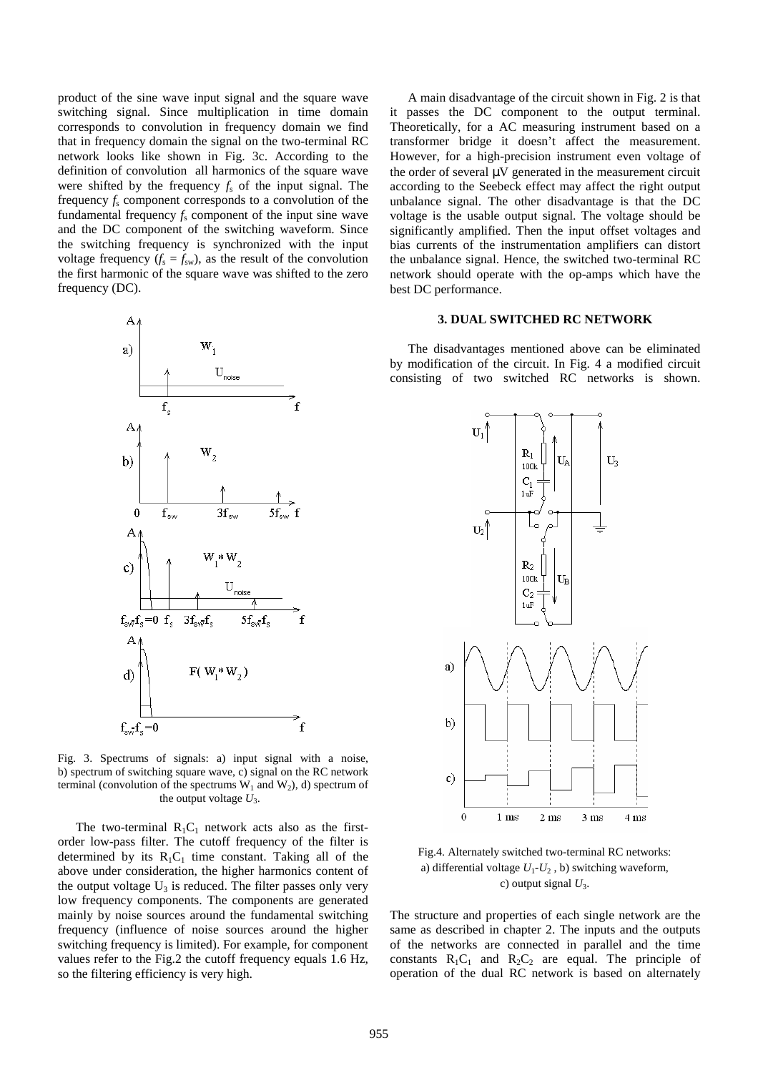product of the sine wave input signal and the square wave switching signal. Since multiplication in time domain corresponds to convolution in frequency domain we find that in frequency domain the signal on the two-terminal RC network looks like shown in Fig. 3c. According to the definition of convolution all harmonics of the square wave were shifted by the frequency  $f_s$  of the input signal. The frequency  $f_s$  component corresponds to a convolution of the fundamental frequency  $f_s$  component of the input sine wave and the DC component of the switching waveform. Since the switching frequency is synchronized with the input voltage frequency  $(f_s = f_{sw})$ , as the result of the convolution the first harmonic of the square wave was shifted to the zero frequency (DC).



Fig. 3. Spectrums of signals: a) input signal with a noise, b) spectrum of switching square wave, c) signal on the RC network terminal (convolution of the spectrums  $W_1$  and  $W_2$ ), d) spectrum of the output voltage  $U_3$ .

The two-terminal  $R_1C_1$  network acts also as the firstorder low-pass filter. The cutoff frequency of the filter is determined by its  $R_1C_1$  time constant. Taking all of the above under consideration, the higher harmonics content of the output voltage  $U_3$  is reduced. The filter passes only very low frequency components. The components are generated mainly by noise sources around the fundamental switching frequency (influence of noise sources around the higher switching frequency is limited). For example, for component values refer to the Fig.2 the cutoff frequency equals 1.6 Hz, so the filtering efficiency is very high.

A main disadvantage of the circuit shown in Fig. 2 is that it passes the DC component to the output terminal. Theoretically, for a AC measuring instrument based on a transformer bridge it doesn't affect the measurement. However, for a high-precision instrument even voltage of the order of several  $\mu$ V generated in the measurement circuit according to the Seebeck effect may affect the right output unbalance signal. The other disadvantage is that the DC voltage is the usable output signal. The voltage should be significantly amplified. Then the input offset voltages and bias currents of the instrumentation amplifiers can distort the unbalance signal. Hence, the switched two-terminal RC network should operate with the op-amps which have the best DC performance.

## **3. DUAL SWITCHED RC NETWORK**

The disadvantages mentioned above can be eliminated by modification of the circuit. In Fig. 4 a modified circuit consisting of two switched RC networks is shown.



Fig.4. Alternately switched two-terminal RC networks: a) differential voltage  $U_1-U_2$ , b) switching waveform, c) output signal *U*<sup>3</sup> .

The structure and properties of each single network are the same as described in chapter 2. The inputs and the outputs of the networks are connected in parallel and the time constants  $R_1C_1$  and  $R_2C_2$  are equal. The principle of operation of the dual RC network is based on alternately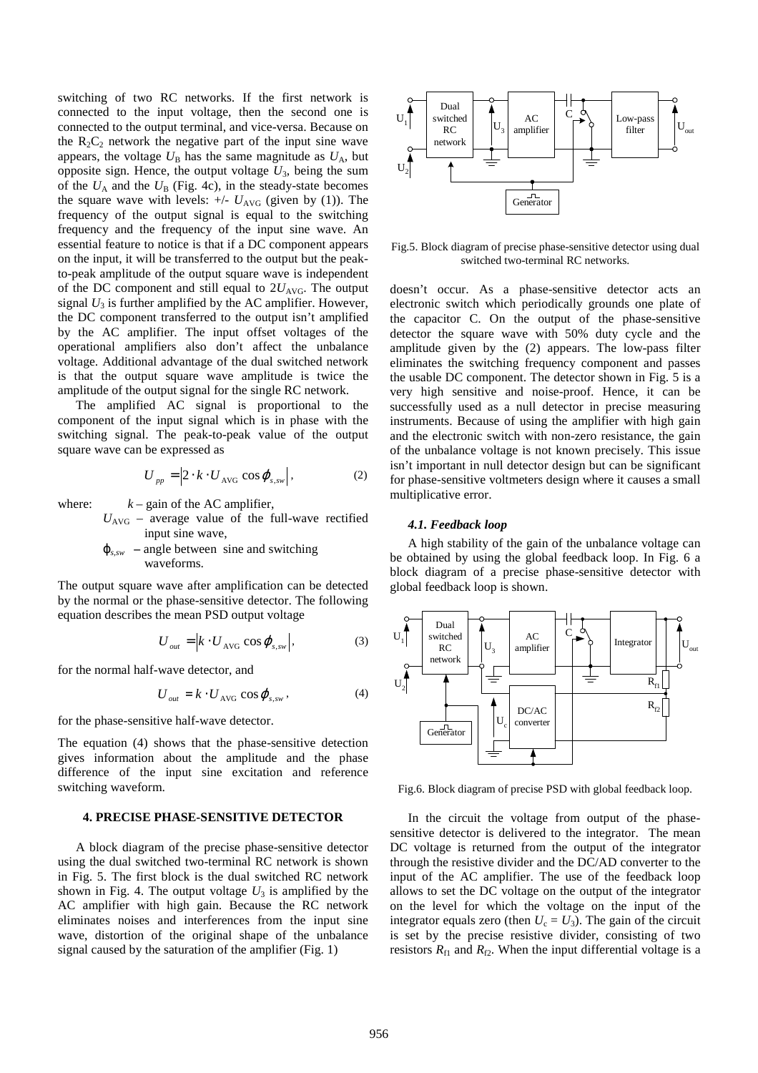switching of two RC networks. If the first network is connected to the input voltage, then the second one is connected to the output terminal, and vice-versa. Because on the  $R_2C_2$  network the negative part of the input sine wave appears, the voltage  $U_B$  has the same magnitude as  $U_A$ , but opposite sign. Hence, the output voltage  $U_3$ , being the sum of the  $U_A$  and the  $U_B$  (Fig. 4c), in the steady-state becomes the square wave with levels:  $+/- U_{AVG}$  (given by (1)). The frequency of the output signal is equal to the switching frequency and the frequency of the input sine wave. An essential feature to notice is that if a DC component appears on the input, it will be transferred to the output but the peakto-peak amplitude of the output square wave is independent of the DC component and still equal to  $2U<sub>AVG</sub>$ . The output signal  $U_3$  is further amplified by the AC amplifier. However, the DC component transferred to the output isn't amplified by the AC amplifier. The input offset voltages of the operational amplifiers also don't affect the unbalance voltage. Additional advantage of the dual switched network is that the output square wave amplitude is twice the amplitude of the output signal for the single RC network.

The amplified AC signal is proportional to the component of the input signal which is in phase with the switching signal. The peak-to-peak value of the output square wave can be expressed as

$$
U_{pp} = \left| 2 \cdot k \cdot U_{\text{AVG}} \cos \varphi_{s, \text{sw}} \right|, \tag{2}
$$

where:  $k - \text{gain}$  of the AC amplifier,

 $U_{\text{AVG}}$  – average value of the full-wave rectified input sine wave,

 $\varphi_{s,sw}$  – angle between sine and switching waveforms.

The output square wave after amplification can be detected by the normal or the phase-sensitive detector. The following equation describes the mean PSD output voltage

$$
U_{out} = \left| k \cdot U_{\text{AVG}} \cos \varphi_{s, \text{sw}} \right|,\tag{3}
$$

for the normal half-wave detector, and

$$
U_{out} = k \cdot U_{\text{AVG}} \cos \varphi_{s,sw}, \qquad (4)
$$

for the phase-sensitive half-wave detector.

The equation (4) shows that the phase-sensitive detection gives information about the amplitude and the phase difference of the input sine excitation and reference switching waveform.

#### **4. PRECISE PHASE-SENSITIVE DETECTOR**

A block diagram of the precise phase-sensitive detector using the dual switched two-terminal RC network is shown in Fig. 5. The first block is the dual switched RC network shown in Fig. 4. The output voltage  $U_3$  is amplified by the AC amplifier with high gain. Because the RC network eliminates noises and interferences from the input sine wave, distortion of the original shape of the unbalance signal caused by the saturation of the amplifier (Fig. 1)



Fig.5. Block diagram of precise phase-sensitive detector using dual switched two-terminal RC networks.

doesn't occur. As a phase-sensitive detector acts an electronic switch which periodically grounds one plate of the capacitor C. On the output of the phase-sensitive detector the square wave with 50% duty cycle and the amplitude given by the (2) appears. The low-pass filter eliminates the switching frequency component and passes the usable DC component. The detector shown in Fig. 5 is a very high sensitive and noise-proof. Hence, it can be successfully used as a null detector in precise measuring instruments. Because of using the amplifier with high gain and the electronic switch with non-zero resistance, the gain of the unbalance voltage is not known precisely. This issue isn't important in null detector design but can be significant for phase-sensitive voltmeters design where it causes a small multiplicative error.

#### *4.1. Feedback loop*

A high stability of the gain of the unbalance voltage can be obtained by using the global feedback loop. In Fig. 6 a block diagram of a precise phase-sensitive detector with global feedback loop is shown.



Fig.6. Block diagram of precise PSD with global feedback loop.

In the circuit the voltage from output of the phasesensitive detector is delivered to the integrator. The mean DC voltage is returned from the output of the integrator through the resistive divider and the DC/AD converter to the input of the AC amplifier. The use of the feedback loop allows to set the DC voltage on the output of the integrator on the level for which the voltage on the input of the integrator equals zero (then  $U_c = U_3$ ). The gain of the circuit is set by the precise resistive divider, consisting of two resistors  $R_{f1}$  and  $R_{f2}$ . When the input differential voltage is a